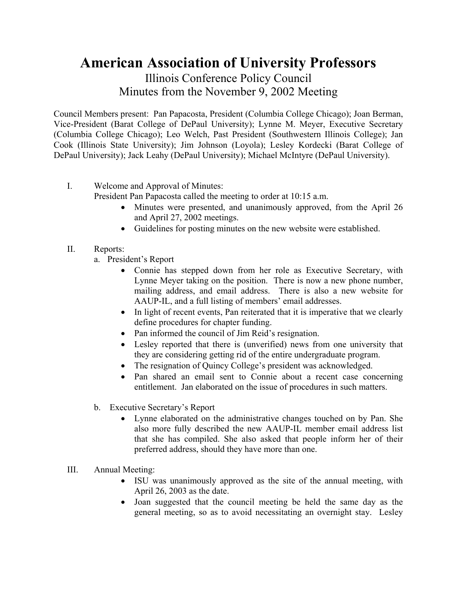## **American Association of University Professors**  Illinois Conference Policy Council

## Minutes from the November 9, 2002 Meeting

Council Members present: Pan Papacosta, President (Columbia College Chicago); Joan Berman, Vice-President (Barat College of DePaul University); Lynne M. Meyer, Executive Secretary (Columbia College Chicago); Leo Welch, Past President (Southwestern Illinois College); Jan Cook (Illinois State University); Jim Johnson (Loyola); Lesley Kordecki (Barat College of DePaul University); Jack Leahy (DePaul University); Michael McIntyre (DePaul University).

- I. Welcome and Approval of Minutes:
	- President Pan Papacosta called the meeting to order at 10:15 a.m.
		- Minutes were presented, and unanimously approved, from the April 26 and April 27, 2002 meetings.
		- Guidelines for posting minutes on the new website were established.
- II. Reports:
	- a. President's Report
		- Connie has stepped down from her role as Executive Secretary, with Lynne Meyer taking on the position. There is now a new phone number, mailing address, and email address. There is also a new website for AAUP-IL, and a full listing of members' email addresses.
		- In light of recent events, Pan reiterated that it is imperative that we clearly define procedures for chapter funding.
		- Pan informed the council of Jim Reid's resignation.
		- Lesley reported that there is (unverified) news from one university that they are considering getting rid of the entire undergraduate program.
		- The resignation of Quincy College's president was acknowledged.
		- Pan shared an email sent to Connie about a recent case concerning entitlement. Jan elaborated on the issue of procedures in such matters.
	- b. Executive Secretary's Report
		- Lynne elaborated on the administrative changes touched on by Pan. She also more fully described the new AAUP-IL member email address list that she has compiled. She also asked that people inform her of their preferred address, should they have more than one.
- III. Annual Meeting:
	- ISU was unanimously approved as the site of the annual meeting, with April 26, 2003 as the date.
	- Joan suggested that the council meeting be held the same day as the general meeting, so as to avoid necessitating an overnight stay. Lesley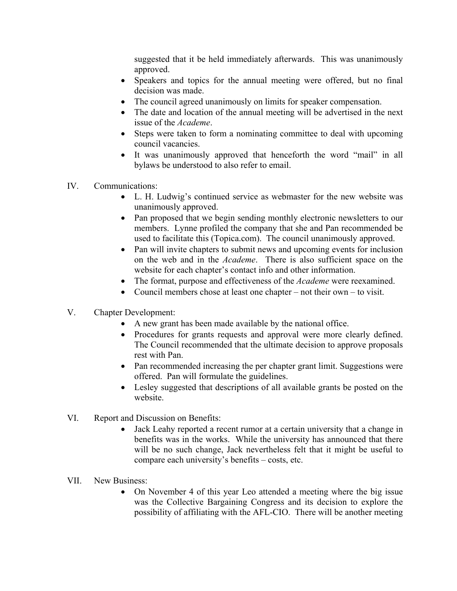suggested that it be held immediately afterwards. This was unanimously approved.

- Speakers and topics for the annual meeting were offered, but no final decision was made.
- The council agreed unanimously on limits for speaker compensation.
- The date and location of the annual meeting will be advertised in the next issue of the *Academe*.
- Steps were taken to form a nominating committee to deal with upcoming council vacancies.
- It was unanimously approved that henceforth the word "mail" in all bylaws be understood to also refer to email.
- IV. Communications:
	- L. H. Ludwig's continued service as webmaster for the new website was unanimously approved.
	- Pan proposed that we begin sending monthly electronic newsletters to our members. Lynne profiled the company that she and Pan recommended be used to facilitate this (Topica.com). The council unanimously approved.
	- Pan will invite chapters to submit news and upcoming events for inclusion on the web and in the *Academe*. There is also sufficient space on the website for each chapter's contact info and other information.
	- The format, purpose and effectiveness of the *Academe* were reexamined.
	- Council members chose at least one chapter not their own to visit.
- V. Chapter Development:
	- A new grant has been made available by the national office.
	- Procedures for grants requests and approval were more clearly defined. The Council recommended that the ultimate decision to approve proposals rest with Pan.
	- Pan recommended increasing the per chapter grant limit. Suggestions were offered. Pan will formulate the guidelines.
	- Lesley suggested that descriptions of all available grants be posted on the website.
- VI. Report and Discussion on Benefits:
	- Jack Leahy reported a recent rumor at a certain university that a change in benefits was in the works. While the university has announced that there will be no such change, Jack nevertheless felt that it might be useful to compare each university's benefits – costs, etc.
- VII. New Business:
	- On November 4 of this year Leo attended a meeting where the big issue was the Collective Bargaining Congress and its decision to explore the possibility of affiliating with the AFL-CIO. There will be another meeting